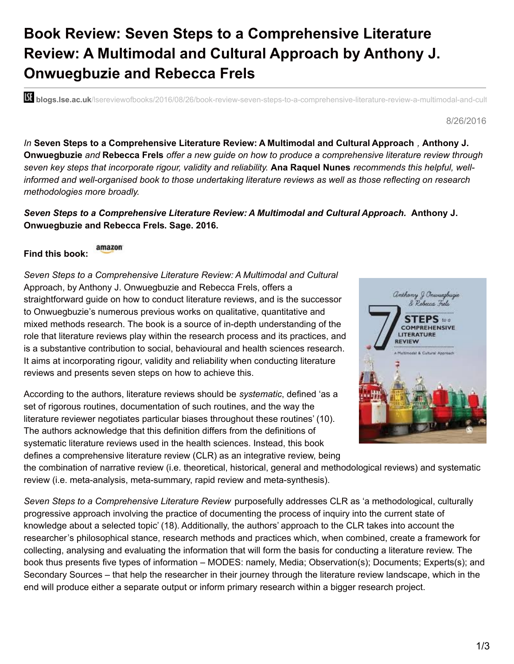## **Book Review: Seven Steps to a Comprehensive Literature Review: A Multimodal and Cultural Approach by Anthony J. Onwuegbuzie and Rebecca Frels**

**bli blogs.lse.ac.uk**/lsereviewofbooks/2016/08/26/book-review-seven-steps-to-a-comprehensive-literature-review-a-multimodal-and-cult

8/26/2016

*In* **Seven Steps to a Comprehensive Literature Review: A Multimodal and Cultural Approach** *,* **Anthony J.** Onwuegbuzie and Rebecca Frels offer a new guide on how to produce a comprehensive literature review through seven key steps that incorporate rigour, validity and reliability. Ana Raquel Nunes recommends this helpful, well*informed and well-organised book to those undertaking literature reviews as well as those reflecting on research methodologies more broadly.*

## *Seven Steps to a Comprehensive Literature Review: A Multimodal and Cultural Approach.* **Anthony J. Onwuegbuzie and Rebecca Frels. Sage. 2016.**

amazon **Find this book:**

*Seven Steps to a Comprehensive Literature Review: A Multimodal and Cultural* Approach, by Anthony J. Onwuegbuzie and Rebecca Frels, offers a straightforward guide on how to conduct literature reviews, and is the successor to Onwuegbuzie's numerous previous works on qualitative, quantitative and mixed methods research. The book is a source of in-depth understanding of the role that literature reviews play within the research process and its practices, and is a substantive contribution to social, behavioural and health sciences research. It aims at incorporating rigour, validity and reliability when conducting literature reviews and presents seven steps on how to achieve this.

According to the authors, literature reviews should be *systematic*, defined 'as a set of rigorous routines, documentation of such routines, and the way the literature reviewer negotiates particular biases throughout these routines' (10). The authors acknowledge that this definition differs from the definitions of systematic literature reviews used in the health sciences. Instead, this book defines a comprehensive literature review (CLR) as an integrative review, being



the combination of narrative review (i.e. theoretical, historical, general and methodological reviews) and systematic review (i.e. meta-analysis, meta-summary, rapid review and meta-synthesis).

*Seven Steps to a Comprehensive Literature Review* purposefully addresses CLR as 'a methodological, culturally progressive approach involving the practice of documenting the process of inquiry into the current state of knowledge about a selected topic' (18). Additionally, the authors' approach to the CLR takes into account the researcher's philosophical stance, research methods and practices which, when combined, create a framework for collecting, analysing and evaluating the information that will form the basis for conducting a literature review. The book thus presents five types of information – MODES: namely, Media; Observation(s); Documents; Experts(s); and Secondary Sources – that help the researcher in their journey through the literature review landscape, which in the end will produce either a separate output or inform primary research within a bigger research project.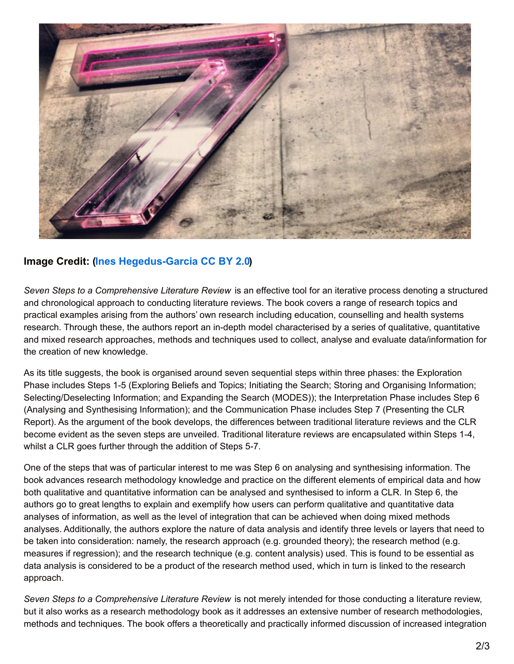

## **Image Credit: (Ines [Hegedus-Garcia](https://www.flickr.com/photos/miamism/6884671510/in/photolist-bunJYW-6Vt9C1-5xbg7G-6HBqEg-6HBisa-6VtpHA-6HBqii-6HFt2y-6Vtw1s-6HBkAK-6HFrj7-6ffLVA-6HFsKo-6Vpbi2-6HFo67-6HBod8-7NzqhQ-bQ58tM-6Vt6Wd-6HFpjm-pFiavB-5FqiEP-6HFozo-aYWr8F-6HFqWb-5WvR3b-6ZUn6L-bX36Wd-6HFqvb-dg5M1c-6HBjA8-pX6KuA-7T46Rv-5WvSUL-cM2A5J-bNgvRM-5WrzzX-oE5AKD-6HFtqs-6VpcUv-5WvTH3-5WvSwG-Lcukv-6jXwHt-EiivbD-8ubpfN-icc7mD-86La1A-7QXUAR-59KkG) CC BY 2.0)**

*Seven Steps to a Comprehensive Literature Review* is an effective tool for an iterative process denoting a structured and chronological approach to conducting literature reviews. The book covers a range of research topics and practical examples arising from the authors' own research including education, counselling and health systems research. Through these, the authors report an in-depth model characterised by a series of qualitative, quantitative and mixed research approaches, methods and techniques used to collect, analyse and evaluate data/information for the creation of new knowledge.

As its title suggests, the book is organised around seven sequential steps within three phases: the Exploration Phase includes Steps 1-5 (Exploring Beliefs and Topics; Initiating the Search; Storing and Organising Information; Selecting/Deselecting Information; and Expanding the Search (MODES)); the Interpretation Phase includes Step 6 (Analysing and Synthesising Information); and the Communication Phase includes Step 7 (Presenting the CLR Report). As the argument of the book develops, the differences between traditional literature reviews and the CLR become evident as the seven steps are unveiled. Traditional literature reviews are encapsulated within Steps 1-4, whilst a CLR goes further through the addition of Steps 5-7.

One of the steps that was of particular interest to me was Step 6 on analysing and synthesising information. The book advances research methodology knowledge and practice on the different elements of empirical data and how both qualitative and quantitative information can be analysed and synthesised to inform a CLR. In Step 6, the authors go to great lengths to explain and exemplify how users can perform qualitative and quantitative data analyses of information, as well as the level of integration that can be achieved when doing mixed methods analyses. Additionally, the authors explore the nature of data analysis and identify three levels or layers that need to be taken into consideration: namely, the research approach (e.g. grounded theory); the research method (e.g. measures if regression); and the research technique (e.g. content analysis) used. This is found to be essential as data analysis is considered to be a product of the research method used, which in turn is linked to the research approach.

*Seven Steps to a Comprehensive Literature Review* is not merely intended for those conducting a literature review, but it also works as a research methodology book as it addresses an extensive number of research methodologies, methods and techniques. The book offers a theoretically and practically informed discussion of increased integration